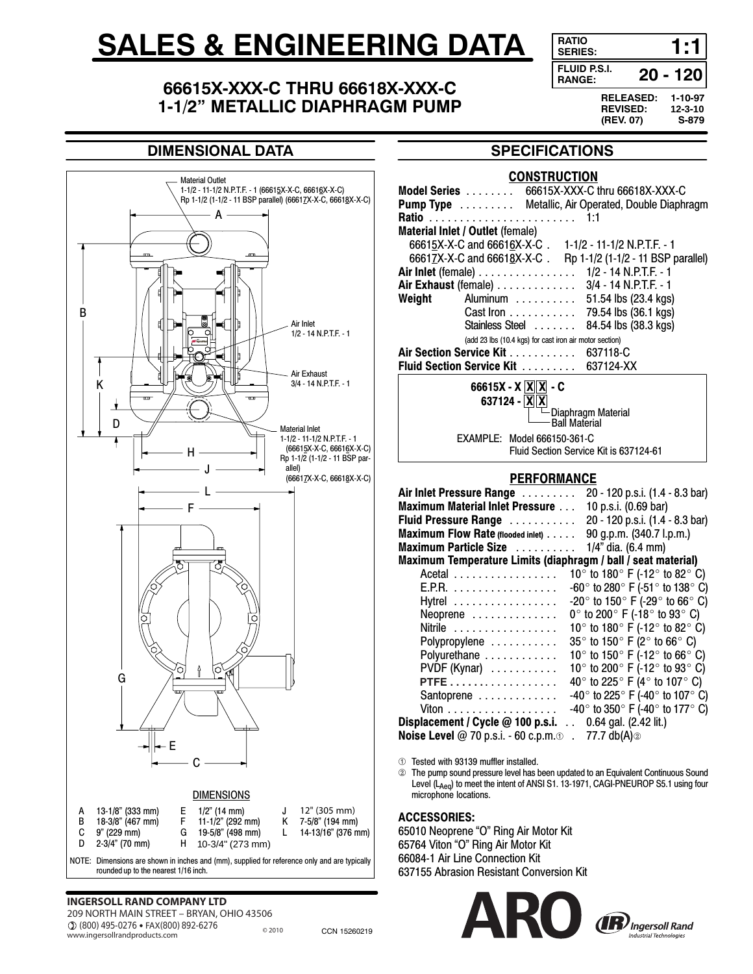# **SALES & ENGINEERING DATA**

# **RANGE: 66615X-XXX-C THRU 66618X-XXX-C 1-1/2" METALLIC DIAPHRAGM PUMP**

**RELEASED: 1-10-97 REVISED: 12-3-10 (REV. 07) SERIES: 1:1 20 - 120 FLUID P.S.I.**

# **DIMENSIONAL DATA**



## **SPECIFICATIONS**

#### **CONSTRUCTION**

|                                                                                                                                   |                                             | Model Series  66615X-XXX-C thru 66618X-XXX-C              |                                                                                                                           |  |
|-----------------------------------------------------------------------------------------------------------------------------------|---------------------------------------------|-----------------------------------------------------------|---------------------------------------------------------------------------------------------------------------------------|--|
|                                                                                                                                   |                                             | <b>Pump Type</b> Metallic, Air Operated, Double Diaphragm |                                                                                                                           |  |
|                                                                                                                                   |                                             |                                                           | 1:1                                                                                                                       |  |
|                                                                                                                                   | Material Inlet / Outlet (female)            |                                                           |                                                                                                                           |  |
|                                                                                                                                   |                                             |                                                           | 66615X-X-C and 66616X-X-C . 1-1/2 - 11-1/2 N.P.T.F. - 1<br>66617X-X-C and 66618X-X-C . Rp 1-1/2 (1-1/2 - 11 BSP parallel) |  |
|                                                                                                                                   |                                             |                                                           |                                                                                                                           |  |
|                                                                                                                                   | Air Inlet (female)                          |                                                           | 1/2 - 14 N.P.T.F. - 1                                                                                                     |  |
|                                                                                                                                   | Air Exhaust (female)                        |                                                           | 3/4 - 14 N.P.T.F. - 1                                                                                                     |  |
| Weight                                                                                                                            | Aluminum                                    |                                                           | 51.54 lbs (23.4 kgs)                                                                                                      |  |
|                                                                                                                                   | Cast Iron                                   |                                                           | 79.54 lbs (36.1 kgs)                                                                                                      |  |
|                                                                                                                                   | Stainless Steel                             |                                                           | 84.54 lbs (38.3 kgs)                                                                                                      |  |
| (add 23 lbs (10.4 kgs) for cast iron air motor section)                                                                           |                                             |                                                           |                                                                                                                           |  |
| Air Section Service Kit<br>637118-C                                                                                               |                                             |                                                           |                                                                                                                           |  |
|                                                                                                                                   | Fluid Section Service Kit                   |                                                           | 637124-XX                                                                                                                 |  |
|                                                                                                                                   | 66615X - $X[\overline{X} \overline{X}]$ - C |                                                           |                                                                                                                           |  |
| 637124 - $X[X]$                                                                                                                   |                                             |                                                           |                                                                                                                           |  |
|                                                                                                                                   |                                             |                                                           | -Diaphragm Material                                                                                                       |  |
|                                                                                                                                   |                                             | <b>Ball Material</b>                                      |                                                                                                                           |  |
| Model 666150-361-C<br>EXAMPLE:                                                                                                    |                                             |                                                           |                                                                                                                           |  |
|                                                                                                                                   |                                             |                                                           | Fluid Section Service Kit is 637124-61                                                                                    |  |
|                                                                                                                                   |                                             |                                                           |                                                                                                                           |  |
| <b>PERFORMANCE</b>                                                                                                                |                                             |                                                           |                                                                                                                           |  |
|                                                                                                                                   | Air Inlet Pressure Range                    |                                                           | 20 - 120 p.s.i. (1.4 - 8.3 bar)                                                                                           |  |
|                                                                                                                                   | <b>Maximum Material Inlet Pressure </b>     |                                                           | 10 p.s.i. (0.69 bar)                                                                                                      |  |
|                                                                                                                                   | Fluid Pressure Range                        |                                                           | 20 - 120 p.s.i. (1.4 - 8.3 bar)                                                                                           |  |
|                                                                                                                                   | Maximum Flow Rate (flooded inlet)           |                                                           | 90 g.p.m. (340.7 l.p.m.)                                                                                                  |  |
|                                                                                                                                   | Maximum Particle Size                       |                                                           | 1/4" dia. (6.4 mm)                                                                                                        |  |
| Maximum Temperature Limits (diaphragm / ball / seat material)                                                                     |                                             |                                                           |                                                                                                                           |  |
|                                                                                                                                   | Acetal                                      |                                                           | 10° to 180° F (-12° to 82° C)                                                                                             |  |
|                                                                                                                                   | E.P.R.                                      |                                                           | $-60^\circ$ to 280° F (-51° to 138° C)                                                                                    |  |
|                                                                                                                                   | Hytrel                                      |                                                           | -20 $^{\circ}$ to 150 $^{\circ}$ F (-29 $^{\circ}$ to 66 $^{\circ}$ C)                                                    |  |
|                                                                                                                                   | Neoprene                                    |                                                           | $0^\circ$ to 200 $^\circ$ F (-18 $^\circ$ to 93 $^\circ$ C)                                                               |  |
|                                                                                                                                   | Nitrile                                     |                                                           | 10 $^{\circ}$ to 180 $^{\circ}$ F (-12 $^{\circ}$ to 82 $^{\circ}$ C)                                                     |  |
|                                                                                                                                   | Polypropylene                               |                                                           | 35 $\degree$ to 150 $\degree$ F (2 $\degree$ to 66 $\degree$ C)                                                           |  |
|                                                                                                                                   | Polyurethane                                |                                                           | 10° to 150° F (-12° to 66° C)                                                                                             |  |
|                                                                                                                                   | PVDF (Kynar)                                |                                                           | 10° to 200° F (-12° to 93° C)                                                                                             |  |
|                                                                                                                                   | PTFE                                        |                                                           | 40 $^{\circ}$ to 225 $^{\circ}$ F (4 $^{\circ}$ to 107 $^{\circ}$ C)                                                      |  |
|                                                                                                                                   | Santoprene                                  |                                                           | -40° to 225° F (-40° to 107° C)                                                                                           |  |
|                                                                                                                                   | Viton                                       |                                                           | -40° to 350° F (-40° to 177° C)                                                                                           |  |
| Displacement / Cycle @ 100 p.s.i.<br>0.64 gal. (2.42 lit.)<br>Noise Level @ 70 p.s.i. - 60 c.p.m.o<br>. 77.7 $db(A)$ <sup>2</sup> |                                             |                                                           |                                                                                                                           |  |
|                                                                                                                                   |                                             |                                                           |                                                                                                                           |  |
|                                                                                                                                   |                                             |                                                           |                                                                                                                           |  |

Tested with 93139 muffler installed.

 The pump sound pressure level has been updated to an Equivalent Continuous Sound Level (LAeq) to meet the intent of ANSI S1. 13-1971, CAGI-PNEUROP S5.1 using four microphone locations.

#### ACCESSORIES:

65010 Neoprene "O" Ring Air Motor Kit 65764 Viton "O" Ring Air Motor Kit 66084-1 Air Line Connection Kit 637155 Abrasion Resistant Conversion Kit

# **INGERSOLL RAND COMPANY LTD** 209 NORTH MAIN STREET – BRYAN, OHIO 43506